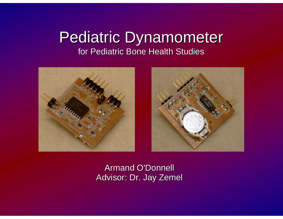#### Pediatric Dynamometer for Pediatric Bone Health Studies





Armand O'Donnell Armand O'Donnell Advisor: Dr. Jay Zemel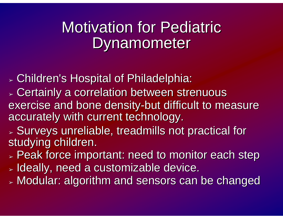## **Motivation for Pediatric** Dynamometer

➢ $_{\ast}$  Children's Hospital of Philadelphia:

- ➢ $>$  Certainly a correlation between strenuous exercise and bone density-but difficult to measure accurately with current technology. accurately with current technology.
- ➢ $>$  Surveys unreliable, treadmills not practical for  $\overline{\phantom{a}}$ studying children.
- ➢ $_{\color{red} >}$  Peak force important: need to monitor each step
- ➢ $_{\color{red} >}$  Ideally, need a customizable device.
- ➢ $_{\ast}$  Modular: algorithm and sensors can be changed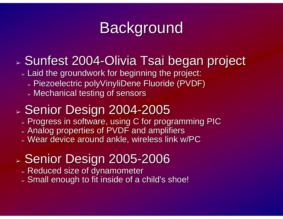# **Background**

#### ➢ $>$  Sunfest 2004-Olivia Tsai began project

- $\scriptstyle\mathtt{p}$  Laid the groundwork for beginning the project:
	- $\triangleright$  Piezoelectric polyVinyliDene Fluoride (PVDF)  $\blacksquare$
	- ➢ Mechanical testing of sensors Mechanical testing of sensors

#### ➢ $\scriptstyle\mathtt{\scriptstyle\ast}$  Senior Design 2004-2005

- $\scriptstyle\mathtt{>}$  Progress in software, using C for programming PIC
- $\scriptstyle\mathtt{b}$  Analog properties of PVDF and amplifiers
- $\triangleright$  Wear device around ankle, wireless link w/PC

#### ➢» Senior Design 2005-2006

- $\triangleright$  Reduced size of dynamometer
- $\triangleright$  Small enough to fit inside of a child's shoe!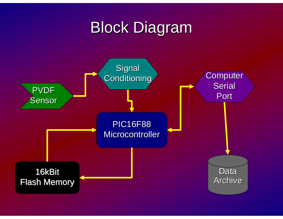# **Block Diagram**

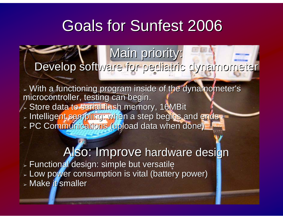# **Goals for Sunfest 2006**

#### Main priority: Develop software for pediatric dynamometer

 $>$  With a functioning program inside of the dynamometer's  $\,$ microcontroller, testing can begin. <sub>≻</sub> Store data to serial flash memory, 16MBit <sub>➢</sub> Intelligent sampling: when a step begins and ends > PC Communications (upload data when done)

Also: Improve hardware design <sub>➢</sub> Functional design: simple but versatile  $\triangleright$  Low power consumption is vital (battery power)  $>$  Make it smaller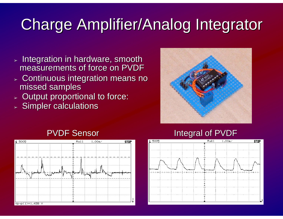# Charge Amplifier/Analog Integrator Charge Amplifier/Analog Integrator

- $>$  Integration in hardware, smooth measurements of force on PVDF
- $>$  Continuous integration means no missed samples
- ➢Output proportional to force:
- $>$  Simpler calculations





#### PVDF Sensor **EXALL SENSOR INTEGRAL SERVICE SENSOR** Integral of PVDF

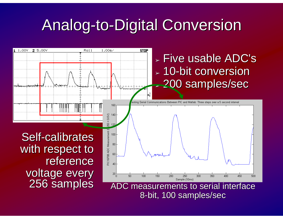# **Analog-to-Digital Conversion**



8-bit, 100 samples/sec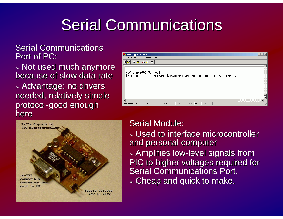# **Serial Communications**

**Serial Communications** Port of PC:

➢ Not used much anymore Not used much anymore because of slow data rate  $\triangleright$  Advantage: no drivers  $\overline{\phantom{a}}$ needed, relatively simple protocol-good enough here





#### **Serial Module:**

 $>$  Used to interface microcontroller and personal computer  $\scriptstyle\mathtt{>}$  Amplifies low-level signals from  $\scriptstyle\mathtt{>}$ PIC to higher voltages required for **Serial Communications Port.**  $>$  Cheap and quick to make.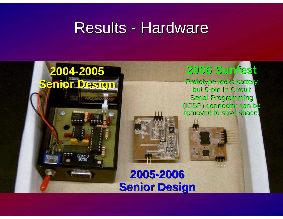## **Results - Hardware**

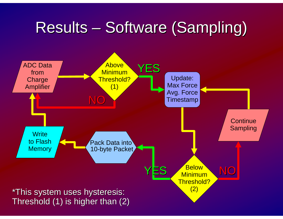# Results – Software (Sampling)

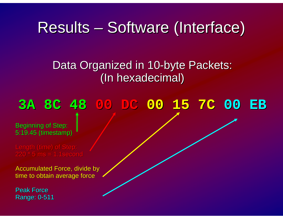## Results – Software (Interface)

Data Organized in 10-byte Packets: (In hexadecimal) (In hexadecimal)

### **3A 8C 48 3A 8C 48 00 DC 00 15 7C 00 15 7C 00 EB**

**Beginning of Step:** 5:19.45 (timestamp)

Length (time) of Step: 220 \* 5 ms = 1.1second 220 \* 5 ms = 1.1second

Accumulated Force, divide by time to obtain average force

Peak Force Range: 0-511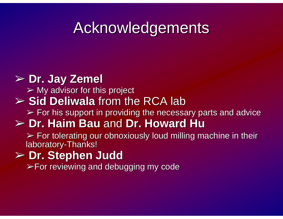# **Acknowledgements**

#### ➢ **Dr. Jay Dr. Jay Zemel**

 $\triangleright$  My advisor for this project

#### **► Sid Deliwala** from the RCA lab

 $\triangleright$  For his support in providing the necessary parts and advice

#### ➢ **Dr. Haim Bau Dr. Haim Bau** and **Dr. Howard Hu Dr. Howard Hu**

 $\triangleright$  For tolerating our obnoxiously loud milling machine in their laboratory-Thanks!

#### ➢ **Dr. Stephen Judd Dr. Stephen Judd**

 $\triangleright$  For reviewing and debugging my code